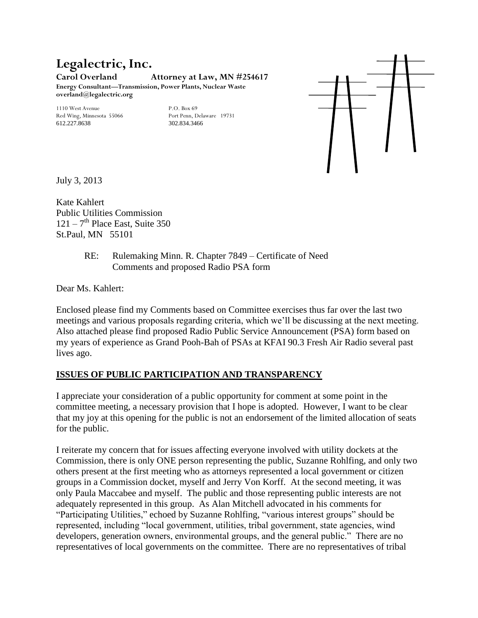## **Legalectric, Inc. Carol Overland Attorney at Law, MN #254617 Energy Consultant—Transmission, Power Plants, Nuclear Waste overland@legalectric.org**

Red Wing, Minnesota 55066 612.227.8638 302.834.3466

1110 West Avenue 19731<br>
1110 West Avenue 19731<br>
19731 Port Penn, Delaware 19731



July 3, 2013

Kate Kahlert Public Utilities Commission  $121 - 7$ <sup>th</sup> Place East, Suite 350 St.Paul, MN 55101

## RE: Rulemaking Minn. R. Chapter 7849 – Certificate of Need Comments and proposed Radio PSA form

Dear Ms. Kahlert:

Enclosed please find my Comments based on Committee exercises thus far over the last two meetings and various proposals regarding criteria, which we'll be discussing at the next meeting. Also attached please find proposed Radio Public Service Announcement (PSA) form based on my years of experience as Grand Pooh-Bah of PSAs at KFAI 90.3 Fresh Air Radio several past lives ago.

## **ISSUES OF PUBLIC PARTICIPATION AND TRANSPARENCY**

I appreciate your consideration of a public opportunity for comment at some point in the committee meeting, a necessary provision that I hope is adopted. However, I want to be clear that my joy at this opening for the public is not an endorsement of the limited allocation of seats for the public.

I reiterate my concern that for issues affecting everyone involved with utility dockets at the Commission, there is only ONE person representing the public, Suzanne Rohlfing, and only two others present at the first meeting who as attorneys represented a local government or citizen groups in a Commission docket, myself and Jerry Von Korff. At the second meeting, it was only Paula Maccabee and myself. The public and those representing public interests are not adequately represented in this group. As Alan Mitchell advocated in his comments for "Participating Utilities," echoed by Suzanne Rohlfing, "various interest groups" should be represented, including "local government, utilities, tribal government, state agencies, wind developers, generation owners, environmental groups, and the general public." There are no representatives of local governments on the committee. There are no representatives of tribal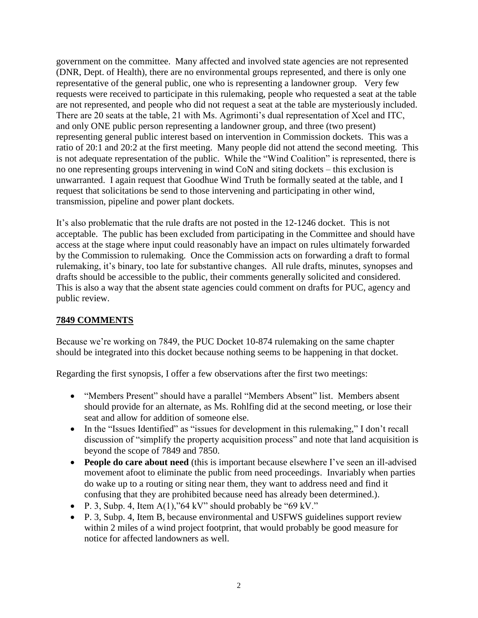government on the committee. Many affected and involved state agencies are not represented (DNR, Dept. of Health), there are no environmental groups represented, and there is only one representative of the general public, one who is representing a landowner group. Very few requests were received to participate in this rulemaking, people who requested a seat at the table are not represented, and people who did not request a seat at the table are mysteriously included. There are 20 seats at the table, 21 with Ms. Agrimonti's dual representation of Xcel and ITC, and only ONE public person representing a landowner group, and three (two present) representing general public interest based on intervention in Commission dockets. This was a ratio of 20:1 and 20:2 at the first meeting. Many people did not attend the second meeting. This is not adequate representation of the public. While the "Wind Coalition" is represented, there is no one representing groups intervening in wind CoN and siting dockets – this exclusion is unwarranted. I again request that Goodhue Wind Truth be formally seated at the table, and I request that solicitations be send to those intervening and participating in other wind, transmission, pipeline and power plant dockets.

It's also problematic that the rule drafts are not posted in the 12-1246 docket. This is not acceptable. The public has been excluded from participating in the Committee and should have access at the stage where input could reasonably have an impact on rules ultimately forwarded by the Commission to rulemaking. Once the Commission acts on forwarding a draft to formal rulemaking, it's binary, too late for substantive changes. All rule drafts, minutes, synopses and drafts should be accessible to the public, their comments generally solicited and considered. This is also a way that the absent state agencies could comment on drafts for PUC, agency and public review.

## **7849 COMMENTS**

Because we're working on 7849, the PUC Docket 10-874 rulemaking on the same chapter should be integrated into this docket because nothing seems to be happening in that docket.

Regarding the first synopsis, I offer a few observations after the first two meetings:

- "Members Present" should have a parallel "Members Absent" list. Members absent should provide for an alternate, as Ms. Rohlfing did at the second meeting, or lose their seat and allow for addition of someone else.
- In the "Issues Identified" as "issues for development in this rulemaking," I don't recall discussion of "simplify the property acquisition process" and note that land acquisition is beyond the scope of 7849 and 7850.
- **People do care about need** (this is important because elsewhere I've seen an ill-advised movement afoot to eliminate the public from need proceedings. Invariably when parties do wake up to a routing or siting near them, they want to address need and find it confusing that they are prohibited because need has already been determined.).
- P. 3, Subp. 4, Item A(1),"64 kV" should probably be "69 kV."
- P. 3, Subp. 4, Item B, because environmental and USFWS guidelines support review within 2 miles of a wind project footprint, that would probably be good measure for notice for affected landowners as well.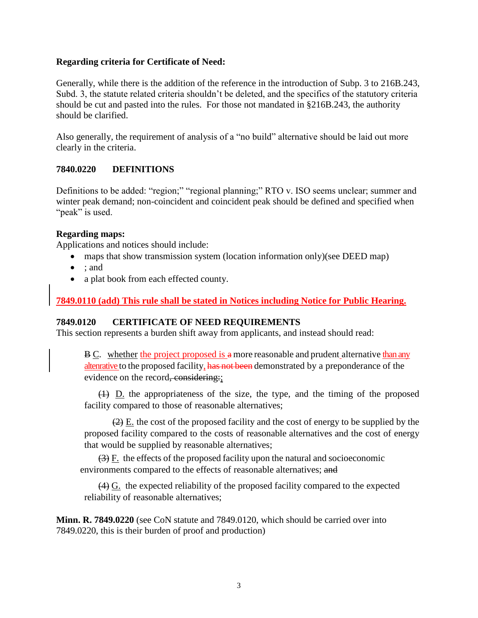## **Regarding criteria for Certificate of Need:**

Generally, while there is the addition of the reference in the introduction of Subp. 3 to 216B.243, Subd. 3, the statute related criteria shouldn't be deleted, and the specifics of the statutory criteria should be cut and pasted into the rules. For those not mandated in §216B.243, the authority should be clarified.

Also generally, the requirement of analysis of a "no build" alternative should be laid out more clearly in the criteria.

## **7840.0220 DEFINITIONS**

Definitions to be added: "region;" "regional planning;" RTO v. ISO seems unclear; summer and winter peak demand; non-coincident and coincident peak should be defined and specified when "peak" is used.

## **Regarding maps:**

Applications and notices should include:

- maps that show transmission system (location information only)(see DEED map)
- $\bullet$  : and
- a plat book from each effected county.

## **7849.0110 (add) This rule shall be stated in Notices including Notice for Public Hearing.**

## **7849.0120 CERTIFICATE OF NEED REQUIREMENTS**

This section represents a burden shift away from applicants, and instead should read:

B C. whether the project proposed is a more reasonable and prudent alternative than any altenrative to the proposed facility, has not been demonstrated by a preponderance of the evidence on the record, considering:

(1) D. the appropriateness of the size, the type, and the timing of the proposed facility compared to those of reasonable alternatives;

 $(2)$  E. the cost of the proposed facility and the cost of energy to be supplied by the proposed facility compared to the costs of reasonable alternatives and the cost of energy that would be supplied by reasonable alternatives;

 $\left(\frac{3}{2}\right)$  F. the effects of the proposed facility upon the natural and socioeconomic environments compared to the effects of reasonable alternatives; and

(4) G. the expected reliability of the proposed facility compared to the expected reliability of reasonable alternatives;

**Minn. R. 7849.0220** (see CoN statute and 7849.0120, which should be carried over into 7849.0220, this is their burden of proof and production)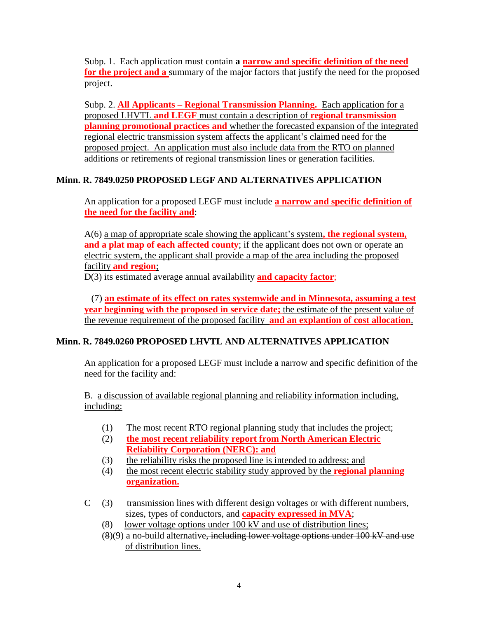Subp. 1. Each application must contain **a narrow and specific definition of the need for the project and a** summary of the major factors that justify the need for the proposed project.

Subp. 2. **All Applicants – Regional Transmission Planning.** Each application for a proposed LHVTL **and LEGF** must contain a description of **regional transmission planning promotional practices and** whether the forecasted expansion of the integrated regional electric transmission system affects the applicant's claimed need for the proposed project. An application must also include data from the RTO on planned additions or retirements of regional transmission lines or generation facilities.

## **Minn. R. 7849.0250 PROPOSED LEGF AND ALTERNATIVES APPLICATION**

An application for a proposed LEGF must include **a narrow and specific definition of the need for the facility and**:

A(6) a map of appropriate scale showing the applicant's system**, the regional system, and a plat map of each affected county**; if the applicant does not own or operate an electric system, the applicant shall provide a map of the area including the proposed facility **and region**;

D(3) its estimated average annual availability **and capacity factor**;

 (7) **an estimate of its effect on rates systemwide and in Minnesota, assuming a test year beginning with the proposed in service date;** the estimate of the present value of the revenue requirement of the proposed facility **and an explantion of cost allocation**.

## **Minn. R. 7849.0260 PROPOSED LHVTL AND ALTERNATIVES APPLICATION**

An application for a proposed LEGF must include a narrow and specific definition of the need for the facility and:

B. a discussion of available regional planning and reliability information including, including:

- (1) The most recent RTO regional planning study that includes the project;
- (2) **the most recent reliability report from North American Electric Reliability Corporation (NERC): and**
- (3) the reliability risks the proposed line is intended to address; and
- (4) the most recent electric stability study approved by the **regional planning organization.**
- C (3) transmission lines with different design voltages or with different numbers, sizes, types of conductors, and **capacity expressed in MVA**;
	- (8) lower voltage options under 100 kV and use of distribution lines;
	- $(8)(9)$  a no-build alternative, including lower voltage options under  $100 \text{ kV}$  and use of distribution lines.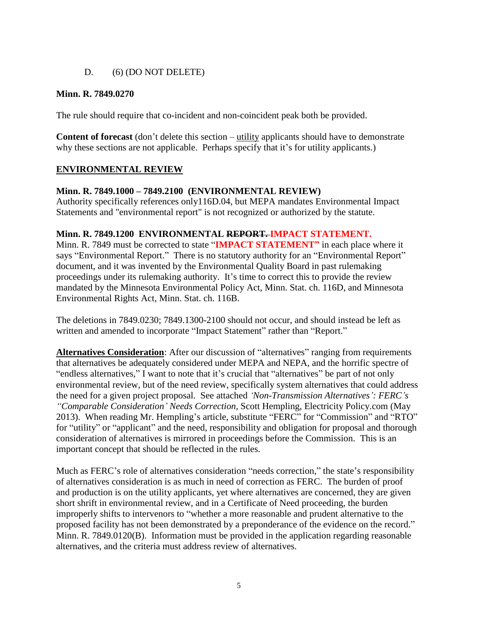## D. (6) (DO NOT DELETE)

## **Minn. R. 7849.0270**

The rule should require that co-incident and non-coincident peak both be provided.

**Content of forecast** (don't delete this section – utility applicants should have to demonstrate why these sections are not applicable. Perhaps specify that it's for utility applicants.)

## **ENVIRONMENTAL REVIEW**

## **Minn. R. 7849.1000 – 7849.2100 (ENVIRONMENTAL REVIEW)**

Authority specifically references only116D.04, but MEPA mandates Environmental Impact Statements and "environmental report" is not recognized or authorized by the statute.

## **Minn. R. 7849.1200 ENVIRONMENTAL REPORT. IMPACT STATEMENT.**

Minn. R. 7849 must be corrected to state "**IMPACT STATEMENT"** in each place where it says "Environmental Report." There is no statutory authority for an "Environmental Report" document, and it was invented by the Environmental Quality Board in past rulemaking proceedings under its rulemaking authority. It's time to correct this to provide the review mandated by the Minnesota Environmental Policy Act, Minn. Stat. ch. 116D, and Minnesota Environmental Rights Act, Minn. Stat. ch. 116B.

The deletions in 7849.0230; 7849.1300-2100 should not occur, and should instead be left as written and amended to incorporate "Impact Statement" rather than "Report."

**Alternatives Consideration**: After our discussion of "alternatives" ranging from requirements that alternatives be adequately considered under MEPA and NEPA, and the horrific spectre of "endless alternatives," I want to note that it's crucial that "alternatives" be part of not only environmental review, but of the need review, specifically system alternatives that could address the need for a given project proposal. See attached *'Non-Transmission Alternatives': FERC's "Comparable Consideration' Needs Correction*, Scott Hempling, Electricity Policy.com (May 2013). When reading Mr. Hempling's article, substitute "FERC" for "Commission" and "RTO" for "utility" or "applicant" and the need, responsibility and obligation for proposal and thorough consideration of alternatives is mirrored in proceedings before the Commission. This is an important concept that should be reflected in the rules.

Much as FERC's role of alternatives consideration "needs correction," the state's responsibility of alternatives consideration is as much in need of correction as FERC. The burden of proof and production is on the utility applicants, yet where alternatives are concerned, they are given short shrift in environmental review, and in a Certificate of Need proceeding, the burden improperly shifts to intervenors to "whether a more reasonable and prudent alternative to the proposed facility has not been demonstrated by a preponderance of the evidence on the record." Minn. R. 7849.0120(B). Information must be provided in the application regarding reasonable alternatives, and the criteria must address review of alternatives.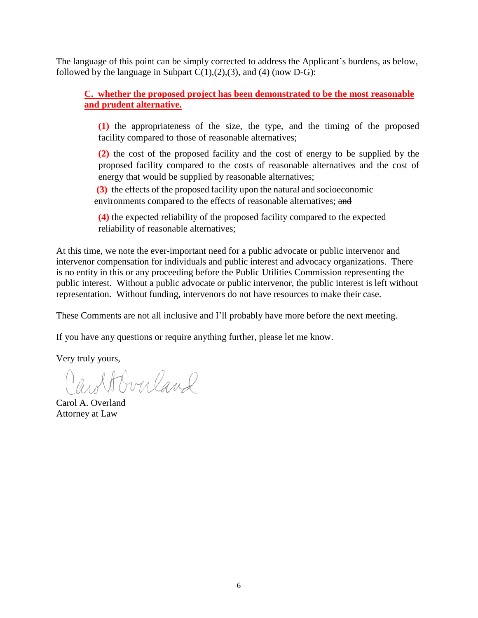The language of this point can be simply corrected to address the Applicant's burdens, as below, followed by the language in Subpart  $C(1),(2),(3)$ , and (4) (now D-G):

**C. whether the proposed project has been demonstrated to be the most reasonable and prudent alternative.**

**(1)** the appropriateness of the size, the type, and the timing of the proposed facility compared to those of reasonable alternatives;

**(2)** the cost of the proposed facility and the cost of energy to be supplied by the proposed facility compared to the costs of reasonable alternatives and the cost of energy that would be supplied by reasonable alternatives;

**(3)** the effects of the proposed facility upon the natural and socioeconomic environments compared to the effects of reasonable alternatives; and

**(4)** the expected reliability of the proposed facility compared to the expected reliability of reasonable alternatives;

At this time, we note the ever-important need for a public advocate or public intervenor and intervenor compensation for individuals and public interest and advocacy organizations. There is no entity in this or any proceeding before the Public Utilities Commission representing the public interest. Without a public advocate or public intervenor, the public interest is left without representation. Without funding, intervenors do not have resources to make their case.

These Comments are not all inclusive and I'll probably have more before the next meeting.

If you have any questions or require anything further, please let me know.

Very truly yours,

wolf Overland

Carol A. Overland Attorney at Law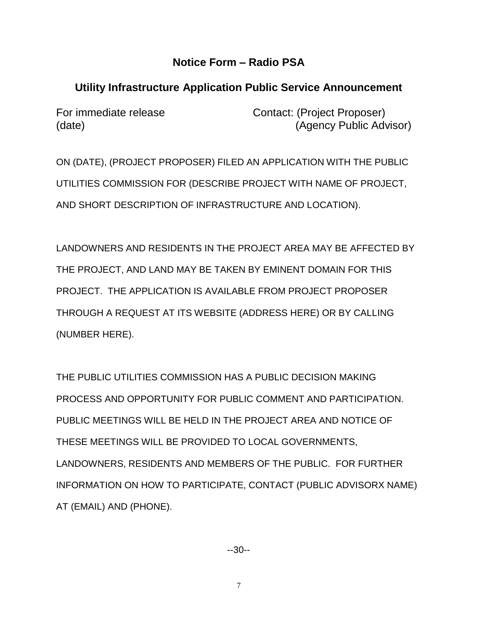## **Notice Form – Radio PSA**

# **Utility Infrastructure Application Public Service Announcement**

For immediate release Contact: (Project Proposer) (date) (date) (Agency Public Advisor)

ON (DATE), (PROJECT PROPOSER) FILED AN APPLICATION WITH THE PUBLIC UTILITIES COMMISSION FOR (DESCRIBE PROJECT WITH NAME OF PROJECT, AND SHORT DESCRIPTION OF INFRASTRUCTURE AND LOCATION).

LANDOWNERS AND RESIDENTS IN THE PROJECT AREA MAY BE AFFECTED BY THE PROJECT, AND LAND MAY BE TAKEN BY EMINENT DOMAIN FOR THIS PROJECT. THE APPLICATION IS AVAILABLE FROM PROJECT PROPOSER THROUGH A REQUEST AT ITS WEBSITE (ADDRESS HERE) OR BY CALLING (NUMBER HERE).

THE PUBLIC UTILITIES COMMISSION HAS A PUBLIC DECISION MAKING PROCESS AND OPPORTUNITY FOR PUBLIC COMMENT AND PARTICIPATION. PUBLIC MEETINGS WILL BE HELD IN THE PROJECT AREA AND NOTICE OF THESE MEETINGS WILL BE PROVIDED TO LOCAL GOVERNMENTS, LANDOWNERS, RESIDENTS AND MEMBERS OF THE PUBLIC. FOR FURTHER INFORMATION ON HOW TO PARTICIPATE, CONTACT (PUBLIC ADVISORX NAME) AT (EMAIL) AND (PHONE).

--30--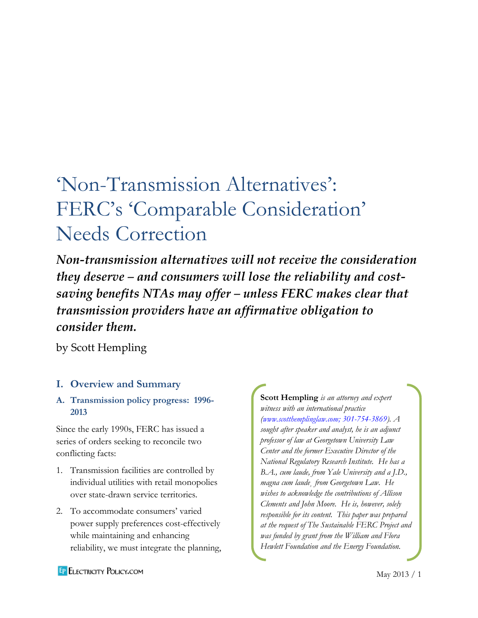# 'Non-Transmission Alternatives' : FERC's 'Comparable Consideration' Needs Correction

*Non-transmission alternatives will not receive the consideration they deserve – and consumers will lose the reliability and costsaving benefits NTAs may offer – unless FERC makes clear that transmission providers have an affirmative obligation to consider them.*

by Scott Hempling

# **I. Overview and Summary**

## **A. Transmission policy progress: 1996- 2013**

Since the early 1990s, FERC has issued a series of orders seeking to reconcile two conflicting facts:

- 1. Transmission facilities are controlled by individual utilities with retail monopolies over state-drawn service territories.
- 2. To accommodate consumers' varied power supply preferences cost-effectively while maintaining and enhancing reliability, we must integrate the planning,

**Scott Hempling** *is an attorney and expert witness with an international practice [\(www.scotthemplinglaw.com;](http://www.scotthemplinglaw.com/) 301-754-3869). A sought after speaker and analyst, he is an adjunct professor of law at Georgetown University Law Center and the former Executive Director of the National Regulatory Research Institute. He has a B.A., cum laude, from Yale University and a J.D., magna cum laude¸ from Georgetown Law. He wishes to acknowledge the contributions of Allison Clements and John Moore. He is, however, solely responsible for its content. This paper was prepared at the request of The Sustainable FERC Project and was funded by grant from the William and Flora Hewlett Foundation and the Energy Foundation.*

**EP ELECTRICITY POLICY.COM**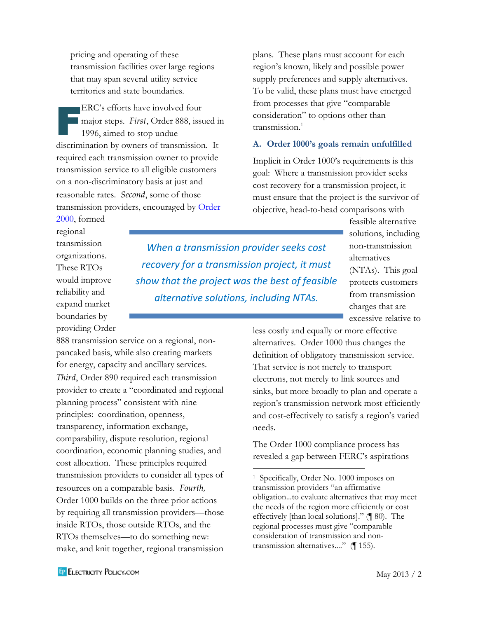pricing and operating of these transmission facilities over large regions that may span several utility service territories and state boundaries.

ERC's efforts have involved four major steps. *First*, Order 888, issued in 1996, aimed to stop undue discrimination by owners of transmission. It required each transmission owner to provide transmission service to all eligible customers on a non-discriminatory basis at just and reasonable rates. *Second*, some of those transmission providers, encouraged by [Order](http://www.ferc.gov/legal/maj-ord-reg/land-docs/RM99-2A.pdf)  [2000,](http://www.ferc.gov/legal/maj-ord-reg/land-docs/RM99-2A.pdf) formed  $\begin{array}{r} \begin{array}{c} \begin{array}{c} \end{array} \\ \begin{array}{c} \end{array} \\ \begin{array}{c} \end{array} \\ \begin{array}{c} \end{array} \end{array} \end{array}$ 

888 transmission service on a regional, nonpancaked basis, while also creating markets for energy, capacity and ancillary services. *Third*, Order 890 required each transmission provider to create a "coordinated and regional

planning process" consistent with nine principles: coordination, openness, transparency, information exchange, comparability, dispute resolution, regional coordination, economic planning studies, and cost allocation. These principles required transmission providers to consider all types of

resources on a comparable basis. *Fourth,* Order 1000 builds on the three prior actions by requiring all transmission providers—those inside RTOs, those outside RTOs, and the RTOs themselves—to do something new: make, and knit together, regional transmission plans. These plans must account for each region's known, likely and possible power supply preferences and supply alternatives. To be valid, these plans must have emerged from processes that give "comparable consideration" to options other than transmission.<sup>1</sup>

#### **A. Order 1000's goals remain unfulfilled**

Implicit in Order 1000's requirements is this goal: Where a transmission provider seeks cost recovery for a transmission project, it must ensure that the project is the survivor of objective, head-to-head comparisons with

regional transmission organizations. These RTOs would improve reliability and expand market boundaries by providing Order

*When a transmission provider seeks cost recovery for a transmission project, it must show that the project was the best of feasible alternative solutions, including NTAs.*

 $\overline{\phantom{a}}$ 

feasible alternative solutions, including non-transmission alternatives (NTAs). This goal protects customers from transmission charges that are excessive relative to

less costly and equally or more effective alternatives. Order 1000 thus changes the definition of obligatory transmission service. That service is not merely to transport electrons, not merely to link sources and sinks, but more broadly to plan and operate a region's transmission network most efficiently and cost-effectively to satisfy a region's varied needs.

> The Order 1000 compliance process has revealed a gap between FERC's aspirations

<sup>1</sup> Specifically, Order No. 1000 imposes on transmission providers "an affirmative obligation...to evaluate alternatives that may meet the needs of the region more efficiently or cost effectively [than local solutions]." (¶ 80). The regional processes must give "comparable consideration of transmission and nontransmission alternatives...." (¶ 155).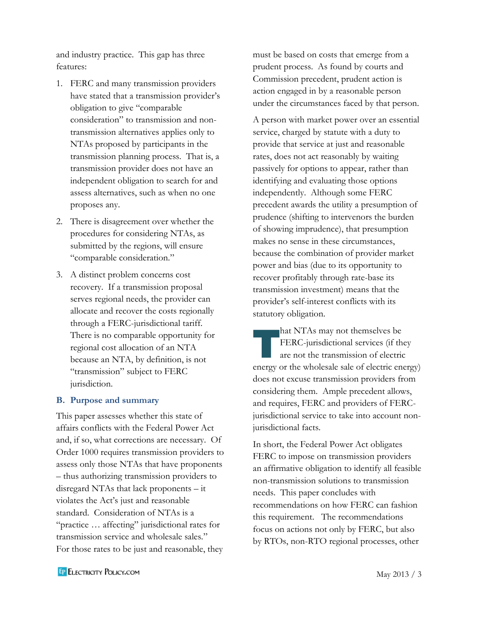and industry practice. This gap has three features:

- 1. FERC and many transmission providers have stated that a transmission provider's obligation to give "comparable consideration" to transmission and nontransmission alternatives applies only to NTAs proposed by participants in the transmission planning process. That is, a transmission provider does not have an independent obligation to search for and assess alternatives, such as when no one proposes any.
- 2. There is disagreement over whether the procedures for considering NTAs, as submitted by the regions, will ensure "comparable consideration."
- 3. A distinct problem concerns cost recovery. If a transmission proposal serves regional needs, the provider can allocate and recover the costs regionally through a FERC-jurisdictional tariff. There is no comparable opportunity for regional cost allocation of an NTA because an NTA, by definition, is not "transmission" subject to FERC jurisdiction.

#### **B. Purpose and summary**

This paper assesses whether this state of affairs conflicts with the Federal Power Act and, if so, what corrections are necessary. Of Order 1000 requires transmission providers to assess only those NTAs that have proponents – thus authorizing transmission providers to disregard NTAs that lack proponents – it violates the Act's just and reasonable standard. Consideration of NTAs is a "practice … affecting" jurisdictional rates for transmission service and wholesale sales." For those rates to be just and reasonable, they

must be based on costs that emerge from a prudent process. As found by courts and Commission precedent, prudent action is action engaged in by a reasonable person under the circumstances faced by that person.

A person with market power over an essential service, charged by statute with a duty to provide that service at just and reasonable rates, does not act reasonably by waiting passively for options to appear, rather than identifying and evaluating those options independently. Although some FERC precedent awards the utility a presumption of prudence (shifting to intervenors the burden of showing imprudence), that presumption makes no sense in these circumstances, because the combination of provider market power and bias (due to its opportunity to recover profitably through rate-base its transmission investment) means that the provider's self-interest conflicts with its statutory obligation.

hat NTAs may not themselves be FERC-jurisdictional services (if they are not the transmission of electric energy or the wholesale sale of electric energy) does not excuse transmission providers from considering them. Ample precedent allows, and requires, FERC and providers of FERCjurisdictional service to take into account nonjurisdictional facts. are<br>The Text<br>are<br>are

In short, the Federal Power Act obligates FERC to impose on transmission providers an affirmative obligation to identify all feasible non-transmission solutions to transmission needs. This paper concludes with recommendations on how FERC can fashion this requirement. The recommendations focus on actions not only by FERC, but also by RTOs, non-RTO regional processes, other

**EP ELECTRICITY POLICY.COM**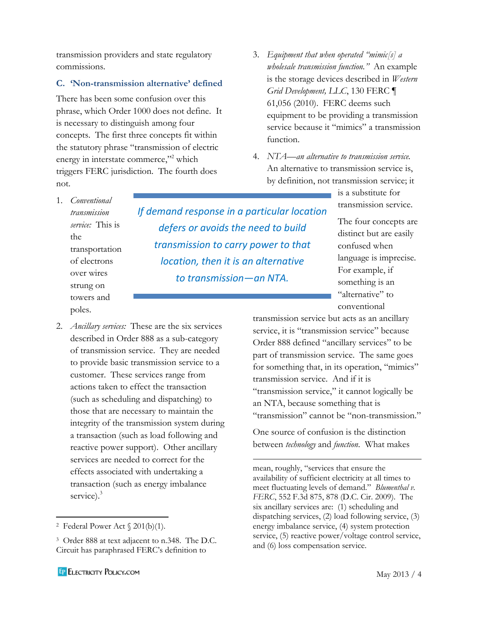transmission providers and state regulatory commissions.

## **C. 'Non-transmission alternative' defined**

There has been some confusion over this phrase, which Order 1000 does not define. It is necessary to distinguish among four concepts. The first three concepts fit within the statutory phrase "transmission of electric energy in interstate commerce,"<sup>2</sup> which triggers FERC jurisdiction. The fourth does not.

- 3. *Equipment that when operated "mimic[s] a wholesale transmission function."* An example is the storage devices described in *Western Grid Development, LLC*, 130 FERC ¶ 61,056 (2010). FERC deems such equipment to be providing a transmission service because it "mimics" a transmission function.
- 4. *NTA—an alternative to transmission service.* An alternative to transmission service is, by definition, not transmission service; it

is a substitute for transmission service.

The four concepts are distinct but are easily confused when language is imprecise. For example, if something is an "alternative" to conventional

transmission service but acts as an ancillary service, it is "transmission service" because Order 888 defined "ancillary services" to be part of transmission service. The same goes for something that, in its operation, "mimics" transmission service. And if it is "transmission service," it cannot logically be an NTA, because something that is "transmission" cannot be "non-transmission."

One source of confusion is the distinction between *technology* and *function*. What makes

mean, roughly, "services that ensure the availability of sufficient electricity at all times to meet fluctuating levels of demand." *Blumenthal v. FERC*, 552 F.3d 875, 878 (D.C. Cir. 2009). The six ancillary services are: (1) scheduling and dispatching services, (2) load following service, (3) energy imbalance service, (4) system protection service, (5) reactive power/voltage control service, and (6) loss compensation service.

 $\overline{\phantom{a}}$ 

*If demand response in a particular location defers or avoids the need to build transmission to carry power to that location, then it is an alternative to transmission—an NTA.*

 $\overline{\phantom{a}}$ 

strung on towers and poles. 2. *Ancillary services:* These are the six services

over wires

1. *Conventional transmission* 

the

described in Order 888 as a sub-category of transmission service. They are needed to provide basic transmission service to a customer. These services range from actions taken to effect the transaction (such as scheduling and dispatching) to those that are necessary to maintain the integrity of the transmission system during a transaction (such as load following and reactive power support). Other ancillary services are needed to correct for the effects associated with undertaking a transaction (such as energy imbalance service).<sup>3</sup>

*service:* This is transportation of electrons

<sup>&</sup>lt;sup>2</sup> Federal Power Act  $\S 201(b)(1)$ .

<sup>3</sup> Order 888 at text adjacent to n.348. The D.C. Circuit has paraphrased FERC's definition to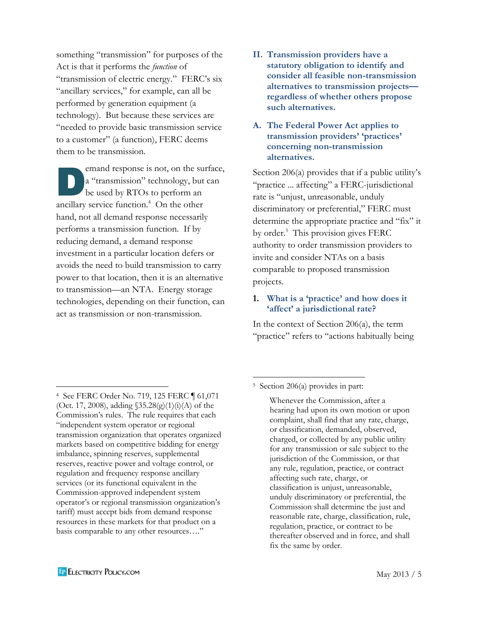something "transmission" for purposes of the Act is that it performs the *function* of "transmission of electric energy." FERC's six "ancillary services," for example, can all be performed by generation equipment (a technology). But because these services are "needed to provide basic transmission service to a customer" (a function), FERC deems them to be transmission.

emand response is not, on the surface, a "transmission" technology, but can be used by RTOs to perform an ancillary service function.<sup>4</sup> On the other hand, not all demand response necessarily performs a transmission function. If by reducing demand, a demand response investment in a particular location defers or avoids the need to build transmission to carry power to that location, then it is an alternative to transmission—an NTA. Energy storage technologies, depending on their function, can act as transmission or non-transmission. D

**II. Transmission providers have a statutory obligation to identify and consider all feasible non-transmission alternatives to transmission projects regardless of whether others propose such alternatives.**

## **A. The Federal Power Act applies to transmission providers' 'practices' concerning non-transmission alternatives.**

Section 206(a) provides that if a public utility's "practice ... affecting" a FERC-jurisdictional rate is "unjust, unreasonable, unduly discriminatory or preferential," FERC must determine the appropriate practice and "fix" it by order.<sup>5</sup> This provision gives FERC authority to order transmission providers to invite and consider NTAs on a basis comparable to proposed transmission projects.

## **1. What is a 'practice' and how does it 'affect' a jurisdictional rate?**

In the context of Section 206(a), the term "practice" refers to "actions habitually being

4 See FERC Order No. 719, 125 FERC ¶ 61,071

<sup>(</sup>Oct. 17, 2008), adding  $$35.28(g)(1)(i)(A)$  of the Commission's rules. The rule requires that each "independent system operator or regional transmission organization that operates organized markets based on competitive bidding for energy imbalance, spinning reserves, supplemental reserves, reactive power and voltage control, or regulation and frequency response ancillary services (or its functional equivalent in the Commission-approved independent system operator's or regional transmission organization's tariff) must accept bids from demand response resources in these markets for that product on a basis comparable to any other resources…."

 $\overline{\phantom{a}}$ 5 Section 206(a) provides in part:

Whenever the Commission, after a hearing had upon its own motion or upon complaint, shall find that any rate, charge, or classification, demanded, observed, charged, or collected by any public utility for any transmission or sale subject to the jurisdiction of the Commission, or that any rule, regulation, practice, or contract affecting such rate, charge, or classification is unjust, unreasonable, unduly discriminatory or preferential, the Commission shall determine the just and reasonable rate, charge, classification, rule, regulation, practice, or contract to be thereafter observed and in force, and shall fix the same by order.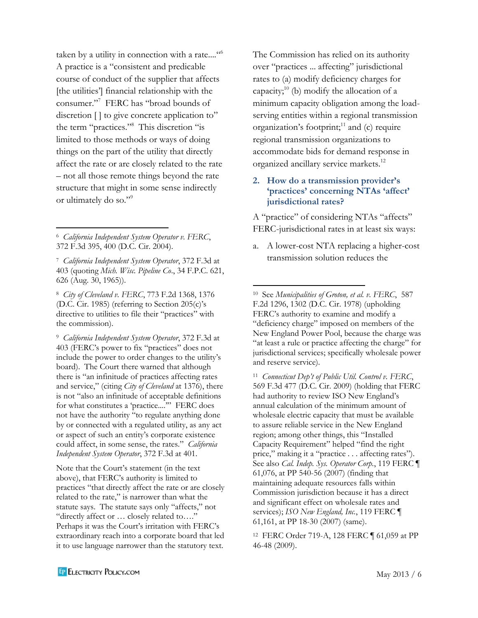taken by a utility in connection with a rate...." A practice is a "consistent and predicable course of conduct of the supplier that affects [the utilities'] financial relationship with the consumer." 7 FERC has "broad bounds of discretion [] to give concrete application to" the term "practices." 8 This discretion "is limited to those methods or ways of doing things on the part of the utility that directly affect the rate or are closely related to the rate – not all those remote things beyond the rate structure that might in some sense indirectly or ultimately do so."<sup>9</sup>

8 *City of Cleveland v. FERC*, 773 F.2d 1368, 1376 (D.C. Cir. 1985) (referring to Section 205(c)'s directive to utilities to file their "practices" with the commission).

9 *California Independent System Operator*, 372 F.3d at 403 (FERC's power to fix "practices" does not include the power to order changes to the utility's board). The Court there warned that although there is "an infinitude of practices affecting rates and service," (citing *City of Cleveland* at 1376), there is not "also an infinitude of acceptable definitions for what constitutes a 'practice....'" FERC does not have the authority "to regulate anything done by or connected with a regulated utility, as any act or aspect of such an entity's corporate existence could affect, in some sense, the rates." *California Independent System Operator*, 372 F.3d at 401.

Note that the Court's statement (in the text above), that FERC's authority is limited to practices "that directly affect the rate or are closely related to the rate," is narrower than what the statute says. The statute says only "affects," not "directly affect or … closely related to…." Perhaps it was the Court's irritation with FERC's extraordinary reach into a corporate board that led it to use language narrower than the statutory text.

The Commission has relied on its authority over "practices ... affecting" jurisdictional rates to (a) modify deficiency charges for capacity; $^{10}$  (b) modify the allocation of a minimum capacity obligation among the loadserving entities within a regional transmission organization's footprint; <sup>11</sup> and (c) require regional transmission organizations to accommodate bids for demand response in organized ancillary service markets.<sup>12</sup>

#### **2. How do a transmission provider's 'practices' concerning NTAs 'affect' jurisdictional rates?**

A "practice" of considering NTAs "affects" FERC-jurisdictional rates in at least six ways:

a. A lower-cost NTA replacing a higher-cost transmission solution reduces the

 $\overline{\phantom{a}}$ 

10 See *Municipalities of Groton, et al. v. FERC*, 587 F.2d 1296, 1302 (D.C. Cir. 1978) (upholding FERC's authority to examine and modify a "deficiency charge" imposed on members of the New England Power Pool, because the charge was "at least a rule or practice affecting the charge" for jurisdictional services; specifically wholesale power and reserve service).

11 *Connecticut Dep't of Public Util. Control v. FERC*, 569 F.3d 477 (D.C. Cir. 2009) (holding that FERC had authority to review ISO New England's annual calculation of the minimum amount of wholesale electric capacity that must be available to assure reliable service in the New England region; among other things, this "Installed Capacity Requirement" helped "find the right price," making it a "practice . . . affecting rates"). See also *Cal. Indep. Sys. Operator Corp.*, 119 FERC ¶ 61,076, at PP 540-56 (2007) (finding that maintaining adequate resources falls within Commission jurisdiction because it has a direct and significant effect on wholesale rates and services); *ISO New England, Inc.*, 119 FERC ¶ 61,161, at PP 18-30 (2007) (same).

12 FERC Order 719-A, 128 FERC ¶ 61,059 at PP 46-48 (2009).

 $\overline{\phantom{a}}$ 6 *California Independent System Operator v. FERC*, 372 F.3d 395, 400 (D.C. Cir. 2004).

<sup>7</sup> *California Independent System Operator*, 372 F.3d at 403 (quoting *Mich. Wisc. Pipeline Co*., 34 F.P.C. 621, 626 (Aug. 30, 1965)).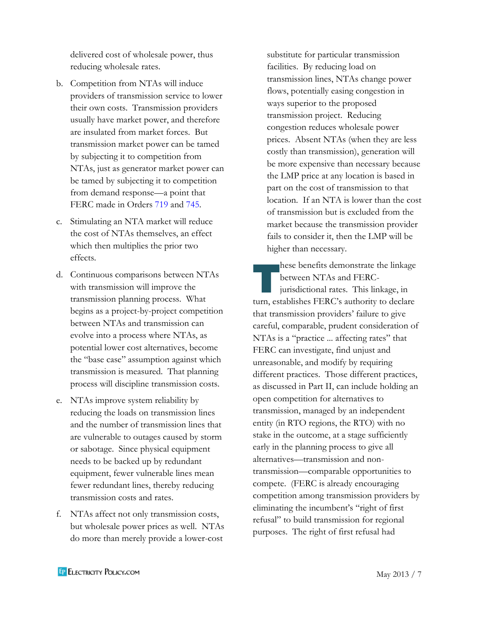delivered cost of wholesale power, thus reducing wholesale rates.

- b. Competition from NTAs will induce providers of transmission service to lower their own costs. Transmission providers usually have market power, and therefore are insulated from market forces. But transmission market power can be tamed by subjecting it to competition from NTAs, just as generator market power can be tamed by subjecting it to competition from demand response—a point that FERC made in Orders [719](http://www.ferc.gov/whats-new/comm-meet/2008/101608/E-1.pdf) and [745.](http://www.ferc.gov/EventCalendar/Files/20110315105757-RM10-17-000.pdf)
- c. Stimulating an NTA market will reduce the cost of NTAs themselves, an effect which then multiplies the prior two effects.
- d. Continuous comparisons between NTAs with transmission will improve the transmission planning process. What begins as a project-by-project competition between NTAs and transmission can evolve into a process where NTAs, as potential lower cost alternatives, become the "base case" assumption against which transmission is measured. That planning process will discipline transmission costs.
- e. NTAs improve system reliability by reducing the loads on transmission lines and the number of transmission lines that are vulnerable to outages caused by storm or sabotage. Since physical equipment needs to be backed up by redundant equipment, fewer vulnerable lines mean fewer redundant lines, thereby reducing transmission costs and rates.
- f. NTAs affect not only transmission costs, but wholesale power prices as well. NTAs do more than merely provide a lower-cost

substitute for particular transmission facilities. By reducing load on transmission lines, NTAs change power flows, potentially easing congestion in ways superior to the proposed transmission project. Reducing congestion reduces wholesale power prices. Absent NTAs (when they are less costly than transmission), generation will be more expensive than necessary because the LMP price at any location is based in part on the cost of transmission to that location. If an NTA is lower than the cost of transmission but is excluded from the market because the transmission provider fails to consider it, then the LMP will be higher than necessary.

hese benefits demonstrate the linkage between NTAs and FERCjurisdictional rates. This linkage, in turn, establishes FERC's authority to declare that transmission providers' failure to give careful, comparable, prudent consideration of NTAs is a "practice ... affecting rates" that FERC can investigate, find unjust and unreasonable, and modify by requiring different practices. Those different practices, as discussed in Part II, can include holding an open competition for alternatives to transmission, managed by an independent entity (in RTO regions, the RTO) with no stake in the outcome, at a stage sufficiently early in the planning process to give all alternatives—transmission and nontransmission—comparable opportunities to compete. (FERC is already encouraging competition among transmission providers by eliminating the incumbent's "right of first refusal" to build transmission for regional purposes. The right of first refusal had nes<br>The bett<br>Juri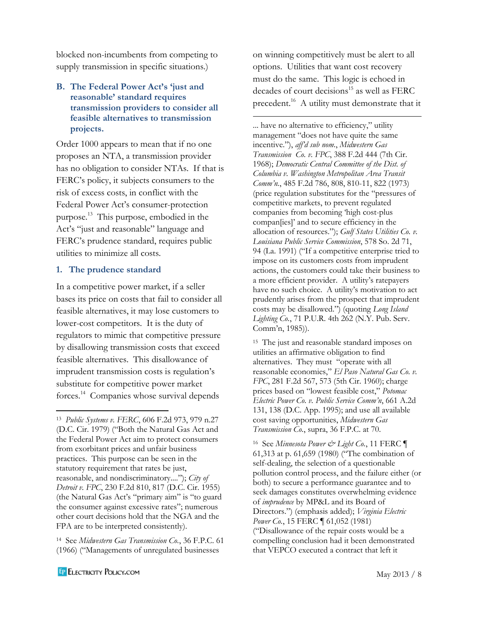blocked non-incumbents from competing to supply transmission in specific situations.)

## **B. The Federal Power Act's 'just and reasonable' standard requires transmission providers to consider all feasible alternatives to transmission projects.**

Order 1000 appears to mean that if no one proposes an NTA, a transmission provider has no obligation to consider NTAs. If that is FERC's policy, it subjects consumers to the risk of excess costs, in conflict with the Federal Power Act's consumer-protection purpose.<sup>13</sup> This purpose, embodied in the Act's "just and reasonable" language and FERC's prudence standard, requires public utilities to minimize all costs.

#### **1. The prudence standard**

In a competitive power market, if a seller bases its price on costs that fail to consider all feasible alternatives, it may lose customers to lower-cost competitors. It is the duty of regulators to mimic that competitive pressure by disallowing transmission costs that exceed feasible alternatives. This disallowance of imprudent transmission costs is regulation's substitute for competitive power market forces.<sup>14</sup> Companies whose survival depends

14 See *Midwestern Gas Transmission Co.*, 36 F.P.C. 61 (1966) ("Managements of unregulated businesses

on winning competitively must be alert to all options. Utilities that want cost recovery must do the same. This logic is echoed in decades of court decisions<sup>15</sup> as well as FERC precedent.<sup>16</sup> A utility must demonstrate that it

 $\overline{\phantom{a}}$ 

... have no alternative to efficiency," utility management "does not have quite the same incentive."), *aff'd sub nom.*, *Midwestern Gas Transmission Co. v. FPC*, 388 F.2d 444 (7th Cir. 1968); *Democratic Central Committee of the Dist. of Columbia v. Washington Metropolitan Area Transit Comm'n.*, 485 F.2d 786, 808, 810-11, 822 (1973) (price regulation substitutes for the "pressures of competitive markets, to prevent regulated companies from becoming 'high cost-plus compan[ies]' and to secure efficiency in the allocation of resources."); *Gulf States Utilities Co. v. Louisiana Public Service Commission*, 578 So. 2d 71, 94 (La. 1991) ("If a competitive enterprise tried to impose on its customers costs from imprudent actions, the customers could take their business to a more efficient provider. A utility's ratepayers have no such choice. A utility's motivation to act prudently arises from the prospect that imprudent costs may be disallowed.") (quoting *Long Island Lighting Co.*, 71 P.U.R. 4th 262 (N.Y. Pub. Serv. Comm'n, 1985)).

15 The just and reasonable standard imposes on utilities an affirmative obligation to find alternatives. They must "operate with all reasonable economies," *El Paso Natural Gas Co. v. FPC*, 281 F.2d 567, 573 (5th Cir. 1960); charge prices based on "lowest feasible cost," *Potomac Electric Power Co. v. Public Service Comm'n*, 661 A.2d 131, 138 (D.C. App. 1995); and use all available cost saving opportunities, *Midwestern Gas Transmission Co.*, supra, 36 F.P.C. at 70.

16 See *Minnesota Power & Light Co.*, 11 FERC ¶ 61,313 at p. 61,659 (1980) ("The combination of self-dealing, the selection of a questionable pollution control process, and the failure either (or both) to secure a performance guarantee and to seek damages constitutes overwhelming evidence of *imprudence* by MP&L and its Board of Directors.") (emphasis added); *Virginia Electric Power Co.*, 15 FERC ¶ 61,052 (1981) ("Disallowance of the repair costs would be a compelling conclusion had it been demonstrated that VEPCO executed a contract that left it

<sup>13</sup> *Public Systems v. FERC*, 606 F.2d 973, 979 n.27 (D.C. Cir. 1979) ("Both the Natural Gas Act and the Federal Power Act aim to protect consumers from exorbitant prices and unfair business practices. This purpose can be seen in the statutory requirement that rates be just, reasonable, and nondiscriminatory...."); *City of Detroit v. FPC*, 230 F.2d 810, 817 (D.C. Cir. 1955) (the Natural Gas Act's "primary aim" is "to guard the consumer against excessive rates"; numerous other court decisions hold that the NGA and the FPA are to be interpreted consistently).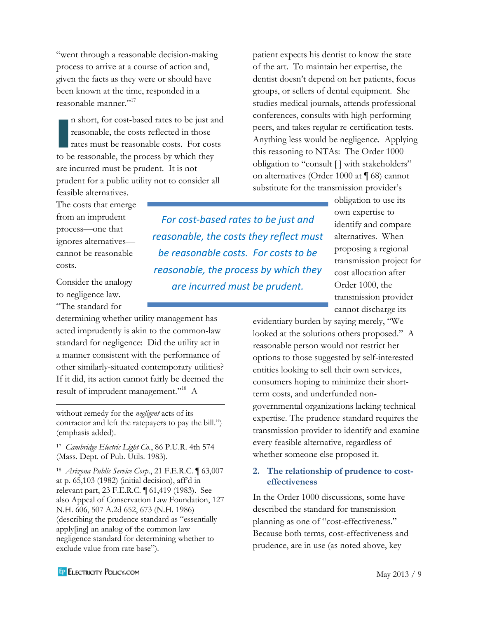"went through a reasonable decision-making process to arrive at a course of action and, given the facts as they were or should have been known at the time, responded in a reasonable manner." 17

n short, for cost-based rates to be just and reasonable, the costs reflected in those rates must be reasonable costs. For costs to be reasonable, the process by which they are incurred must be prudent. It is not prudent for a public utility not to consider all n sl<br>reas<br>rate

patient expects his dentist to know the state of the art. To maintain her expertise, the dentist doesn't depend on her patients, focus groups, or sellers of dental equipment. She studies medical journals, attends professional conferences, consults with high-performing peers, and takes regular re-certification tests. Anything less would be negligence. Applying this reasoning to NTAs: The Order 1000 obligation to "consult [ ] with stakeholders" on alternatives (Order 1000 at ¶ 68) cannot substitute for the transmission provider's

feasible alternatives. The costs that emerge from an imprudent process—one that ignores alternatives cannot be reasonable costs.

Consider the analogy to negligence law. "The standard for

 $\overline{a}$ 

determining whether utility management has acted imprudently is akin to the common-law standard for negligence: Did the utility act in a manner consistent with the performance of other similarly-situated contemporary utilities? If it did, its action cannot fairly be deemed the result of imprudent management."<sup>18</sup> A

without remedy for the *negligent* acts of its contractor and left the ratepayers to pay the bill.") (emphasis added).

17 *Cambridge Electric Light Co.*, 86 P.U.R. 4th 574 (Mass. Dept. of Pub. Utils. 1983).

18 *Arizona Public Service Corp.*, 21 F.E.R.C. ¶ 63,007 at p. 65,103 (1982) (initial decision), aff'd in relevant part, 23 F.E.R.C. ¶ 61,419 (1983). See also Appeal of Conservation Law Foundation, 127 N.H. 606, 507 A.2d 652, 673 (N.H. 1986) (describing the prudence standard as "essentially apply[ing] an analog of the common law negligence standard for determining whether to exclude value from rate base").

*For cost-based rates to be just and reasonable, the costs they reflect must be reasonable costs. For costs to be reasonable, the process by which they are incurred must be prudent.*

obligation to use its own expertise to identify and compare alternatives. When proposing a regional transmission project for cost allocation after Order 1000, the transmission provider cannot discharge its

evidentiary burden by saying merely, "We looked at the solutions others proposed." A reasonable person would not restrict her options to those suggested by self-interested entities looking to sell their own services, consumers hoping to minimize their shortterm costs, and underfunded nongovernmental organizations lacking technical expertise. The prudence standard requires the transmission provider to identify and examine every feasible alternative, regardless of whether someone else proposed it.

#### **2. The relationship of prudence to costeffectiveness**

In the Order 1000 discussions, some have described the standard for transmission planning as one of "cost-effectiveness." Because both terms, cost-effectiveness and prudence, are in use (as noted above, key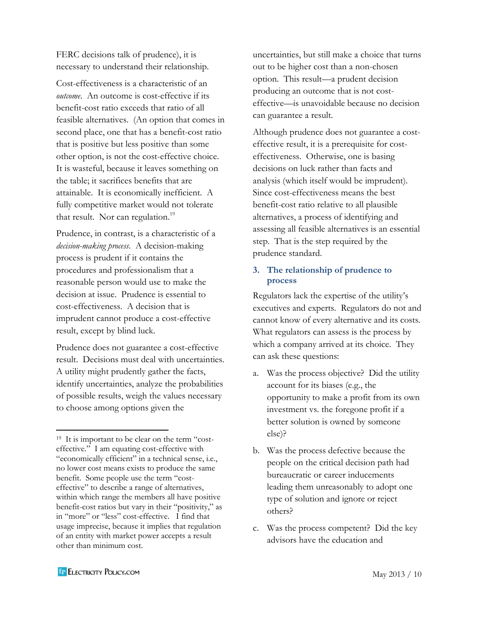FERC decisions talk of prudence), it is necessary to understand their relationship.

Cost-effectiveness is a characteristic of an *outcome*. An outcome is cost-effective if its benefit-cost ratio exceeds that ratio of all feasible alternatives. (An option that comes in second place, one that has a benefit-cost ratio that is positive but less positive than some other option, is not the cost-effective choice. It is wasteful, because it leaves something on the table; it sacrifices benefits that are attainable. It is economically inefficient. A fully competitive market would not tolerate that result. Nor can regulation.<sup>19</sup>

Prudence, in contrast, is a characteristic of a *decision-making process*. A decision-making process is prudent if it contains the procedures and professionalism that a reasonable person would use to make the decision at issue. Prudence is essential to cost-effectiveness. A decision that is imprudent cannot produce a cost-effective result, except by blind luck.

Prudence does not guarantee a cost-effective result. Decisions must deal with uncertainties. A utility might prudently gather the facts, identify uncertainties, analyze the probabilities of possible results, weigh the values necessary to choose among options given the

uncertainties, but still make a choice that turns out to be higher cost than a non-chosen option. This result—a prudent decision producing an outcome that is not costeffective—is unavoidable because no decision can guarantee a result.

Although prudence does not guarantee a costeffective result, it is a prerequisite for costeffectiveness. Otherwise, one is basing decisions on luck rather than facts and analysis (which itself would be imprudent). Since cost-effectiveness means the best benefit-cost ratio relative to all plausible alternatives, a process of identifying and assessing all feasible alternatives is an essential step. That is the step required by the prudence standard.

## **3. The relationship of prudence to process**

Regulators lack the expertise of the utility's executives and experts. Regulators do not and cannot know of every alternative and its costs. What regulators can assess is the process by which a company arrived at its choice. They can ask these questions:

- a. Was the process objective? Did the utility account for its biases (e.g., the opportunity to make a profit from its own investment vs. the foregone profit if a better solution is owned by someone else)?
- b. Was the process defective because the people on the critical decision path had bureaucratic or career inducements leading them unreasonably to adopt one type of solution and ignore or reject others?
- c. Was the process competent? Did the key advisors have the education and

<sup>19</sup> It is important to be clear on the term "costeffective." I am equating cost-effective with "economically efficient" in a technical sense, i.e., no lower cost means exists to produce the same benefit. Some people use the term "costeffective" to describe a range of alternatives, within which range the members all have positive benefit-cost ratios but vary in their "positivity," as in "more" or "less" cost-effective. I find that usage imprecise, because it implies that regulation of an entity with market power accepts a result other than minimum cost.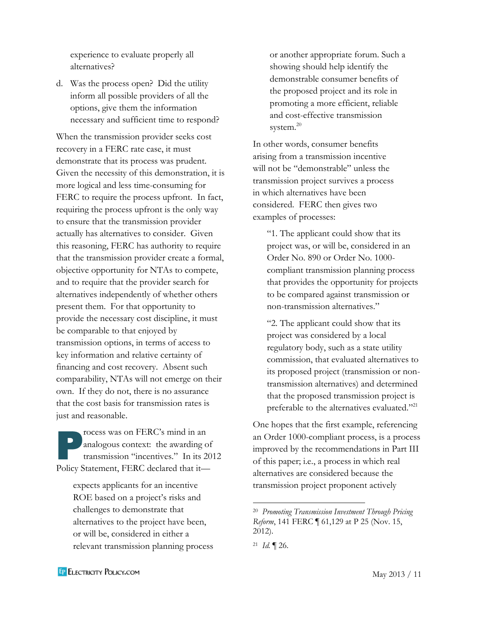experience to evaluate properly all alternatives?

d. Was the process open? Did the utility inform all possible providers of all the options, give them the information necessary and sufficient time to respond?

When the transmission provider seeks cost recovery in a FERC rate case, it must demonstrate that its process was prudent. Given the necessity of this demonstration, it is more logical and less time-consuming for FERC to require the process upfront. In fact, requiring the process upfront is the only way to ensure that the transmission provider actually has alternatives to consider. Given this reasoning, FERC has authority to require that the transmission provider create a formal, objective opportunity for NTAs to compete, and to require that the provider search for alternatives independently of whether others present them. For that opportunity to provide the necessary cost discipline, it must be comparable to that enjoyed by transmission options, in terms of access to key information and relative certainty of financing and cost recovery. Absent such comparability, NTAs will not emerge on their own. If they do not, there is no assurance that the cost basis for transmission rates is just and reasonable.

rocess was on FERC's mind in an analogous context: the awarding of transmission "incentives." In its 2012 Policy Statement, FERC declared that it— P<br>ana<br>trar

> expects applicants for an incentive ROE based on a project's risks and challenges to demonstrate that alternatives to the project have been, or will be, considered in either a relevant transmission planning process

or another appropriate forum. Such a showing should help identify the demonstrable consumer benefits of the proposed project and its role in promoting a more efficient, reliable and cost-effective transmission system.<sup>20</sup>

In other words, consumer benefits arising from a transmission incentive will not be "demonstrable" unless the transmission project survives a process in which alternatives have been considered. FERC then gives two examples of processes:

"1. The applicant could show that its project was, or will be, considered in an Order No. 890 or Order No. 1000 compliant transmission planning process that provides the opportunity for projects to be compared against transmission or non-transmission alternatives."

"2. The applicant could show that its project was considered by a local regulatory body, such as a state utility commission, that evaluated alternatives to its proposed project (transmission or nontransmission alternatives) and determined that the proposed transmission project is preferable to the alternatives evaluated."<sup>21</sup>

One hopes that the first example, referencing an Order 1000-compliant process, is a process improved by the recommendations in Part III of this paper; i.e., a process in which real alternatives are considered because the transmission project proponent actively

<sup>20</sup> *Promoting Transmission Investment Through Pricing Reform*, 141 FERC ¶ 61,129 at P 25 (Nov. 15, 2012).

 $^{21}$  *Id.*  $\P$  26.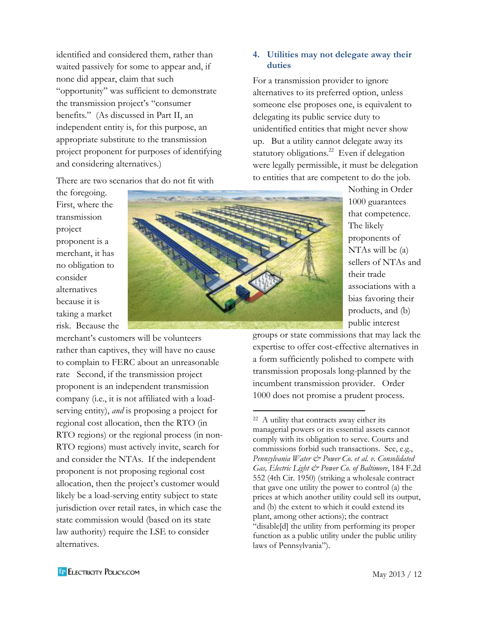identified and considered them, rather than waited passively for some to appear and, if none did appear, claim that such "opportunity" was sufficient to demonstrate the transmission project's "consumer benefits." (As discussed in Part II, an independent entity is, for this purpose, an appropriate substitute to the transmission project proponent for purposes of identifying and considering alternatives.)

There are two scenarios that do not fit with

## **4. Utilities may not delegate away their duties**

For a transmission provider to ignore alternatives to its preferred option, unless someone else proposes one, is equivalent to delegating its public service duty to unidentified entities that might never show up. But a utility cannot delegate away its statutory obligations.<sup>22</sup> Even if delegation were legally permissible, it must be delegation to entities that are competent to do the job.

> Nothing in Order 1000 guarantees that competence. The likely proponents of NTAs will be (a) sellers of NTAs and their trade associations with a bias favoring their products, and (b) public interest

groups or state commissions that may lack the expertise to offer cost-effective alternatives in a form sufficiently polished to compete with transmission proposals long-planned by the incumbent transmission provider. Order 1000 does not promise a prudent process.

First, where the transmission project proponent is a merchant, it has no obligation to consider alternatives because it is taking a market risk. Because the

the foregoing.

merchant's customers will be volunteers rather than captives, they will have no cause to complain to FERC about an unreasonable rate Second, if the transmission project proponent is an independent transmission company (i.e., it is not affiliated with a loadserving entity), *and* is proposing a project for regional cost allocation, then the RTO (in RTO regions) or the regional process (in non-RTO regions) must actively invite, search for and consider the NTAs. If the independent proponent is not proposing regional cost allocation, then the project's customer would likely be a load-serving entity subject to state jurisdiction over retail rates, in which case the state commission would (based on its state law authority) require the LSE to consider alternatives.



<sup>22</sup> A utility that contracts away either its managerial powers or its essential assets cannot comply with its obligation to serve. Courts and commissions forbid such transactions. See, e.g., *Pennsylvania Water & Power Co. et al. v. Consolidated Gas, Electric Light & Power Co. of Baltimore*, 184 F.2d 552 (4th Cir. 1950) (striking a wholesale contract that gave one utility the power to control (a) the prices at which another utility could sell its output, and (b) the extent to which it could extend its plant, among other actions); the contract "disable[d] the utility from performing its proper function as a public utility under the public utility laws of Pennsylvania").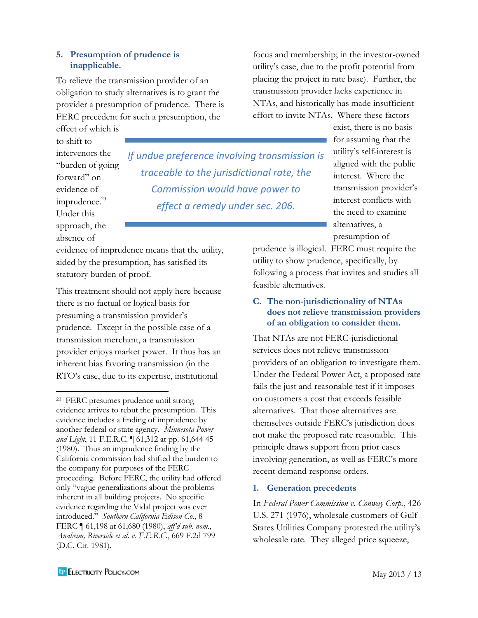#### **5. Presumption of prudence is inapplicable.**

To relieve the transmission provider of an obligation to study alternatives is to grant the provider a presumption of prudence. There is FERC precedent for such a presumption, the

effect of which is to shift to intervenors the "burden of going forward" on evidence of imprudence. $^{23}$ Under this approach, the absence of

 $\overline{\phantom{a}}$ 

*If undue preference involving transmission is traceable to the jurisdictional rate, the Commission would have power to effect a remedy under sec. 206.*

evidence of imprudence means that the utility, aided by the presumption, has satisfied its statutory burden of proof.

This treatment should not apply here because there is no factual or logical basis for presuming a transmission provider's prudence. Except in the possible case of a transmission merchant, a transmission provider enjoys market power. It thus has an inherent bias favoring transmission (in the RTO's case, due to its expertise, institutional

focus and membership; in the investor-owned utility's case, due to the profit potential from placing the project in rate base). Further, the transmission provider lacks experience in NTAs, and historically has made insufficient effort to invite NTAs. Where these factors

> exist, there is no basis for assuming that the utility's self-interest is aligned with the public interest. Where the transmission provider's interest conflicts with the need to examine alternatives, a presumption of

prudence is illogical. FERC must require the utility to show prudence, specifically, by following a process that invites and studies all feasible alternatives.

## **C. The non-jurisdictionality of NTAs does not relieve transmission providers of an obligation to consider them.**

That NTAs are not FERC-jurisdictional services does not relieve transmission providers of an obligation to investigate them. Under the Federal Power Act, a proposed rate fails the just and reasonable test if it imposes on customers a cost that exceeds feasible alternatives. That those alternatives are themselves outside FERC's jurisdiction does not make the proposed rate reasonable. This principle draws support from prior cases involving generation, as well as FERC's more recent demand response orders.

## **1. Generation precedents**

In *Federal Power Commission v. Conway Corp.*, 426 U.S. 271 (1976), wholesale customers of Gulf States Utilities Company protested the utility's wholesale rate. They alleged price squeeze,

<sup>23</sup> FERC presumes prudence until strong evidence arrives to rebut the presumption. This evidence includes a finding of imprudence by another federal or state agency. *Minnesota Power and Light*, 11 F.E.R.C. ¶ 61,312 at pp. 61,644 45 (1980). Thus an imprudence finding by the California commission had shifted the burden to the company for purposes of the FERC proceeding. Before FERC, the utility had offered only "vague generalizations about the problems inherent in all building projects. No specific evidence regarding the Vidal project was ever introduced." *Southern California Edison Co.*, 8 FERC ¶ 61,198 at 61,680 (1980), *aff'd sub. nom.*, *Anaheim, Riverside et al. v. F.E.R.C.*, 669 F.2d 799 (D.C. Cir. 1981).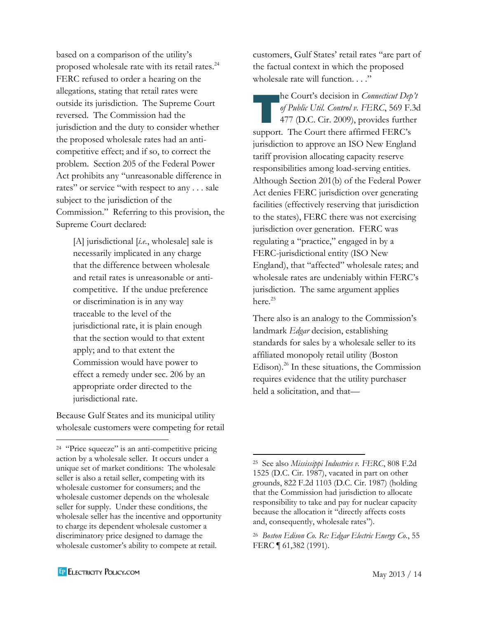based on a comparison of the utility's proposed wholesale rate with its retail rates. 24 FERC refused to order a hearing on the allegations, stating that retail rates were outside its jurisdiction. The Supreme Court reversed. The Commission had the jurisdiction and the duty to consider whether the proposed wholesale rates had an anticompetitive effect; and if so, to correct the problem. Section 205 of the Federal Power Act prohibits any "unreasonable difference in rates" or service "with respect to any . . . sale subject to the jurisdiction of the Commission." Referring to this provision, the Supreme Court declared:

[A] jurisdictional [*i.e.*, wholesale] sale is necessarily implicated in any charge that the difference between wholesale and retail rates is unreasonable or anticompetitive. If the undue preference or discrimination is in any way traceable to the level of the jurisdictional rate, it is plain enough that the section would to that extent apply; and to that extent the Commission would have power to effect a remedy under sec. 206 by an appropriate order directed to the jurisdictional rate.

Because Gulf States and its municipal utility wholesale customers were competing for retail customers, Gulf States' retail rates "are part of the factual context in which the proposed wholesale rate will function. . . ."

he Court's decision in *Connecticut Dep't of Public Util. Control v. FERC*, 569 F.3d 477 (D.C. Cir. 2009), provides further support. The Court there affirmed FERC's jurisdiction to approve an ISO New England tariff provision allocating capacity reserve responsibilities among load-serving entities. Although Section 201(b) of the Federal Power Act denies FERC jurisdiction over generating facilities (effectively reserving that jurisdiction to the states), FERC there was not exercising jurisdiction over generation. FERC was regulating a "practice," engaged in by a FERC-jurisdictional entity (ISO New England), that "affected" wholesale rates; and wholesale rates are undeniably within FERC's jurisdiction. The same argument applies here.<sup>25</sup>  $\begin{array}{c}\n\text{he} \\
\text{of } P \\
477\n\end{array}$ 

There also is an analogy to the Commission's landmark *Edgar* decision, establishing standards for sales by a wholesale seller to its affiliated monopoly retail utility (Boston Edison).<sup>26</sup> In these situations, the Commission requires evidence that the utility purchaser held a solicitation, and that—

 $\overline{\phantom{a}}$ 

<sup>24</sup> "Price squeeze" is an anti-competitive pricing action by a wholesale seller. It occurs under a unique set of market conditions: The wholesale seller is also a retail seller, competing with its wholesale customer for consumers; and the wholesale customer depends on the wholesale seller for supply. Under these conditions, the wholesale seller has the incentive and opportunity to charge its dependent wholesale customer a discriminatory price designed to damage the wholesale customer's ability to compete at retail.

<sup>25</sup> See also *Mississippi Industries v. FERC*, 808 F.2d 1525 (D.C. Cir. 1987), vacated in part on other grounds, 822 F.2d 1103 (D.C. Cir. 1987) (holding that the Commission had jurisdiction to allocate responsibility to take and pay for nuclear capacity because the allocation it "directly affects costs and, consequently, wholesale rates").

<sup>26</sup> *Boston Edison Co. Re: Edgar Electric Energy Co.*, 55 FERC ¶ 61,382 (1991).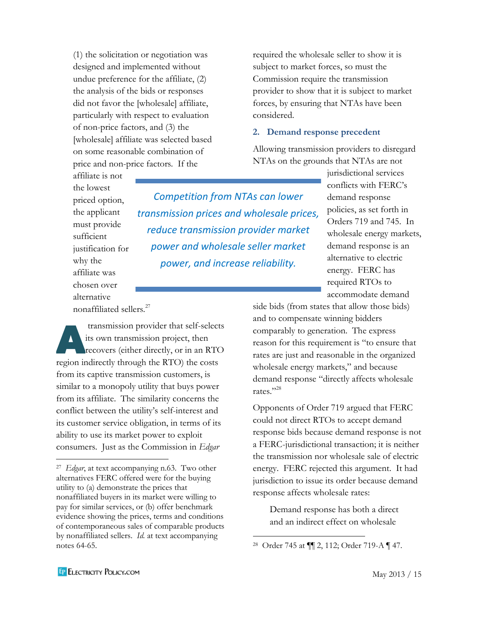(1) the solicitation or negotiation was designed and implemented without undue preference for the affiliate, (2) the analysis of the bids or responses did not favor the [wholesale] affiliate, particularly with respect to evaluation of non-price factors, and (3) the [wholesale] affiliate was selected based on some reasonable combination of price and non-price factors. If the

required the wholesale seller to show it is subject to market forces, so must the Commission require the transmission provider to show that it is subject to market forces, by ensuring that NTAs have been considered.

#### **2. Demand response precedent**

Allowing transmission providers to disregard NTAs on the grounds that NTAs are not

affiliate is not the lowest priced option, the applicant must provide sufficient justification for why the affiliate was chosen over alternative nonaffiliated sellers.<sup>27</sup>

*Competition from NTAs can lower transmission prices and wholesale prices, reduce transmission provider market power and wholesale seller market power, and increase reliability.*

jurisdictional services conflicts with FERC's demand response policies, as set forth in Orders 719 and 745. In wholesale energy markets, demand response is an alternative to electric energy. FERC has required RTOs to accommodate demand

side bids (from states that allow those bids) and to compensate winning bidders comparably to generation. The express reason for this requirement is "to ensure that rates are just and reasonable in the organized wholesale energy markets," and because demand response "directly affects wholesale rates." 28

Opponents of Order 719 argued that FERC could not direct RTOs to accept demand response bids because demand response is not a FERC-jurisdictional transaction; it is neither the transmission nor wholesale sale of electric energy. FERC rejected this argument. It had jurisdiction to issue its order because demand response affects wholesale rates:

Demand response has both a direct and an indirect effect on wholesale

 $\overline{\phantom{a}}$ 

transmission provider that self-selects its own transmission project, then recovers (either directly, or in an RTO region indirectly through the RTO) the costs from its captive transmission customers, is similar to a monopoly utility that buys power from its affiliate. The similarity concerns the conflict between the utility's self-interest and its customer service obligation, in terms of its ability to use its market power to exploit consumers. Just as the Commission in *Edgar* tra its de

<sup>28</sup> Order 745 at ¶¶ 2, 112; Order 719-A ¶ 47.

<sup>27</sup> *Edgar*, at text accompanying n.63. Two other alternatives FERC offered were for the buying utility to (a) demonstrate the prices that nonaffiliated buyers in its market were willing to pay for similar services, or (b) offer benchmark evidence showing the prices, terms and conditions of contemporaneous sales of comparable products by nonaffiliated sellers. *Id.* at text accompanying notes 64-65.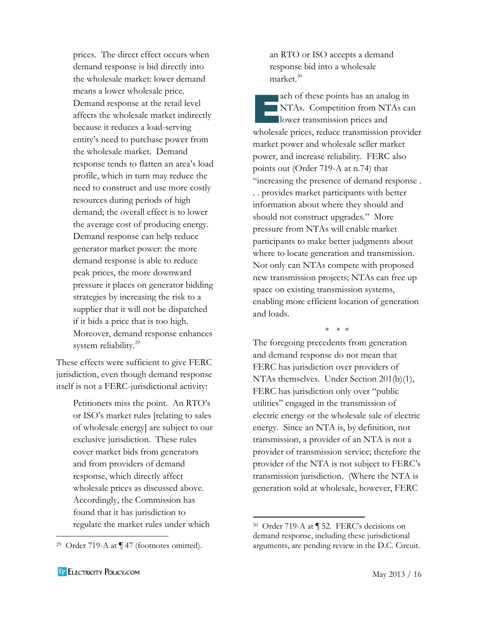prices. The direct effect occurs when demand response is bid directly into the wholesale market: lower demand means a lower wholesale price. Demand response at the retail level affects the wholesale market indirectly because it reduces a load-serving entity's need to purchase power from the wholesale market. Demand response tends to flatten an area's load profile, which in turn may reduce the need to construct and use more costly resources during periods of high demand; the overall effect is to lower the average cost of producing energy. Demand response can help reduce generator market power: the more demand response is able to reduce peak prices, the more downward pressure it places on generator bidding strategies by increasing the risk to a supplier that it will not be dispatched if it bids a price that is too high. Moreover, demand response enhances system reliability.<sup>29</sup>

These effects were sufficient to give FERC jurisdiction, even though demand response itself is not a FERC-jurisdictional activity:

> Petitioners miss the point. An RTO's or ISO's market rules [relating to sales of wholesale energy] are subject to our exclusive jurisdiction. These rules cover market bids from generators and from providers of demand response, which directly affect wholesale prices as discussed above. Accordingly, the Commission has found that it has jurisdiction to regulate the market rules under which

an RTO or ISO accepts a demand response bid into a wholesale market.<sup>30</sup>

ach of these points has an analog in NTAs. Competition from NTAs can ach of these points has an anal<br>NTAs. Competition from NT<br>lower transmission prices and wholesale prices, reduce transmission provider market power and wholesale seller market power, and increase reliability. FERC also points out (Order 719-A at n.74) that "increasing the presence of demand response . . . provides market participants with better information about where they should and should not construct upgrades." More pressure from NTAs will enable market participants to make better judgments about where to locate generation and transmission. Not only can NTAs compete with proposed new transmission projects; NTAs can free up space on existing transmission systems, enabling more efficient location of generation and loads.

\* \* \*

The foregoing precedents from generation and demand response do not mean that FERC has jurisdiction over providers of NTAs themselves. Under Section 201(b)(1), FERC has jurisdiction only over "public utilities" engaged in the transmission of electric energy or the wholesale sale of electric energy. Since an NTA is, by definition, not transmission, a provider of an NTA is not a provider of transmission service; therefore the provider of the NTA is not subject to FERC's transmission jurisdiction. (Where the NTA is generation sold at wholesale, however, FERC

 $\overline{\phantom{a}}$ 

<sup>29</sup> Order 719-A at ¶ 47 (footnotes omitted).

<sup>30</sup> Order 719-A at ¶ 52. FERC's decisions on demand response, including these jurisdictional arguments, are pending review in the D.C. Circuit.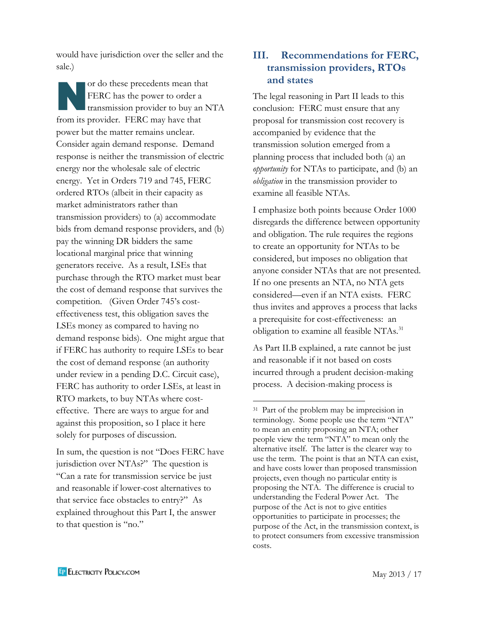would have jurisdiction over the seller and the sale.)

or do these precedents mean that FERC has the power to order a transmission provider to buy an NTA from its provider. FERC may have that power but the matter remains unclear. Consider again demand response. Demand response is neither the transmission of electric energy nor the wholesale sale of electric energy. Yet in Orders 719 and 745, FERC ordered RTOs (albeit in their capacity as market administrators rather than transmission providers) to (a) accommodate bids from demand response providers, and (b) pay the winning DR bidders the same locational marginal price that winning generators receive. As a result, LSEs that purchase through the RTO market must bear the cost of demand response that survives the competition. (Given Order 745's costeffectiveness test, this obligation saves the LSEs money as compared to having no demand response bids). One might argue that if FERC has authority to require LSEs to bear the cost of demand response (an authority under review in a pending D.C. Circuit case), FERC has authority to order LSEs, at least in RTO markets, to buy NTAs where costeffective. There are ways to argue for and against this proposition, so I place it here solely for purposes of discussion. N

In sum, the question is not "Does FERC have jurisdiction over NTAs?" The question is "Can a rate for transmission service be just and reasonable if lower-cost alternatives to that service face obstacles to entry?" As explained throughout this Part I, the answer to that question is "no."

## **III. Recommendations for FERC, transmission providers, RTOs and states**

The legal reasoning in Part II leads to this conclusion: FERC must ensure that any proposal for transmission cost recovery is accompanied by evidence that the transmission solution emerged from a planning process that included both (a) an *opportunity* for NTAs to participate, and (b) an *obligation* in the transmission provider to examine all feasible NTAs.

I emphasize both points because Order 1000 disregards the difference between opportunity and obligation. The rule requires the regions to create an opportunity for NTAs to be considered, but imposes no obligation that anyone consider NTAs that are not presented. If no one presents an NTA, no NTA gets considered—even if an NTA exists. FERC thus invites and approves a process that lacks a prerequisite for cost-effectiveness: an obligation to examine all feasible NTAs.<sup>31</sup>

As Part II.B explained, a rate cannot be just and reasonable if it not based on costs incurred through a prudent decision-making process. A decision-making process is

<sup>31</sup> Part of the problem may be imprecision in terminology. Some people use the term "NTA" to mean an entity proposing an NTA; other people view the term "NTA" to mean only the alternative itself. The latter is the clearer way to use the term. The point is that an NTA can exist, and have costs lower than proposed transmission projects, even though no particular entity is proposing the NTA. The difference is crucial to understanding the Federal Power Act. The purpose of the Act is not to give entities opportunities to participate in processes; the purpose of the Act, in the transmission context, is to protect consumers from excessive transmission costs.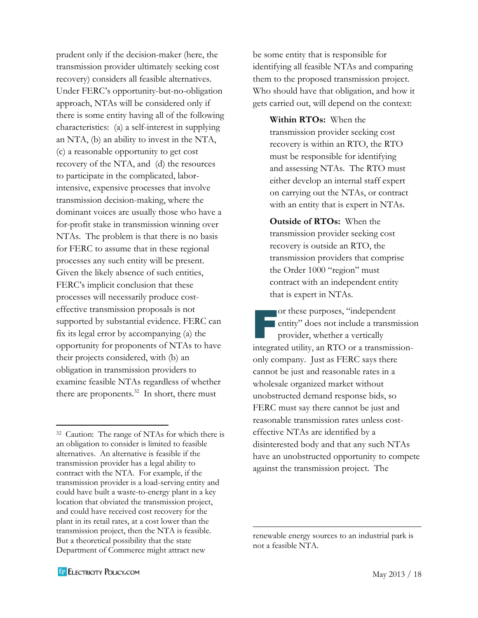prudent only if the decision-maker (here, the transmission provider ultimately seeking cost recovery) considers all feasible alternatives. Under FERC's opportunity-but-no-obligation approach, NTAs will be considered only if there is some entity having all of the following characteristics: (a) a self-interest in supplying an NTA, (b) an ability to invest in the NTA, (c) a reasonable opportunity to get cost recovery of the NTA, and (d) the resources to participate in the complicated, laborintensive, expensive processes that involve transmission decision-making, where the dominant voices are usually those who have a for-profit stake in transmission winning over NTAs. The problem is that there is no basis for FERC to assume that in these regional processes any such entity will be present. Given the likely absence of such entities, FERC's implicit conclusion that these processes will necessarily produce costeffective transmission proposals is not supported by substantial evidence. FERC can fix its legal error by accompanying (a) the opportunity for proponents of NTAs to have their projects considered, with (b) an obligation in transmission providers to examine feasible NTAs regardless of whether there are proponents. $32$  In short, there must

be some entity that is responsible for identifying all feasible NTAs and comparing them to the proposed transmission project. Who should have that obligation, and how it gets carried out, will depend on the context:

**Within RTOs:** When the transmission provider seeking cost recovery is within an RTO, the RTO must be responsible for identifying and assessing NTAs. The RTO must either develop an internal staff expert on carrying out the NTAs, or contract with an entity that is expert in NTAs.

**Outside of RTOs:** When the transmission provider seeking cost recovery is outside an RTO, the transmission providers that comprise the Order 1000 "region" must contract with an independent entity that is expert in NTAs.

or these purposes, "independent entity" does not include a transmission provider, whether a vertically integrated utility, an RTO or a transmissiononly company. Just as FERC says there cannot be just and reasonable rates in a wholesale organized market without unobstructed demand response bids, so FERC must say there cannot be just and reasonable transmission rates unless costeffective NTAs are identified by a disinterested body and that any such NTAs have an unobstructed opportunity to compete against the transmission project. The or t<br>enti<br>pro

 $\overline{\phantom{a}}$ 

<sup>32</sup> Caution: The range of NTAs for which there is an obligation to consider is limited to feasible alternatives. An alternative is feasible if the transmission provider has a legal ability to contract with the NTA. For example, if the transmission provider is a load-serving entity and could have built a waste-to-energy plant in a key location that obviated the transmission project, and could have received cost recovery for the plant in its retail rates, at a cost lower than the transmission project, then the NTA is feasible. But a theoretical possibility that the state Department of Commerce might attract new

renewable energy sources to an industrial park is not a feasible NTA.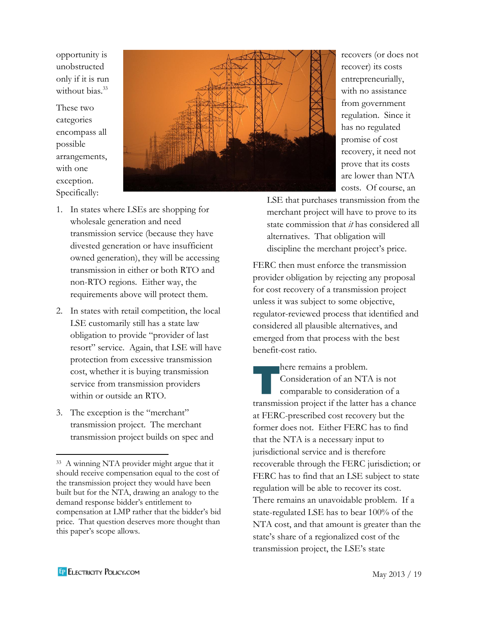opportunity is unobstructed only if it is run without bias.<sup>33</sup>

These two categories encompass all possible arrangements, with one exception. Specifically:



recovers (or does not recover) its costs entrepreneurially, with no assistance from government regulation. Since it has no regulated promise of cost recovery, it need not prove that its costs are lower than NTA costs. Of course, an

- 1. In states where LSEs are shopping for wholesale generation and need transmission service (because they have divested generation or have insufficient owned generation), they will be accessing transmission in either or both RTO and non-RTO regions. Either way, the requirements above will protect them.
- 2. In states with retail competition, the local LSE customarily still has a state law obligation to provide "provider of last resort" service. Again, that LSE will have protection from excessive transmission cost, whether it is buying transmission service from transmission providers within or outside an RTO.
- 3. The exception is the "merchant" transmission project. The merchant transmission project builds on spec and

LSE that purchases transmission from the merchant project will have to prove to its state commission that *it* has considered all alternatives. That obligation will discipline the merchant project's price.

FERC then must enforce the transmission provider obligation by rejecting any proposal for cost recovery of a transmission project unless it was subject to some objective, regulator-reviewed process that identified and considered all plausible alternatives, and emerged from that process with the best benefit-cost ratio.

here remains a problem. Consideration of an NTA is not comparable to consideration of a transmission project if the latter has a chance at FERC-prescribed cost recovery but the former does not. Either FERC has to find that the NTA is a necessary input to jurisdictional service and is therefore recoverable through the FERC jurisdiction; or FERC has to find that an LSE subject to state regulation will be able to recover its cost. There remains an unavoidable problem. If a state-regulated LSE has to bear 100% of the NTA cost, and that amount is greater than the state's share of a regionalized cost of the transmission project, the LSE's state **There**<br>The Condon<br>Condon

<sup>33</sup> A winning NTA provider might argue that it should receive compensation equal to the cost of the transmission project they would have been built but for the NTA, drawing an analogy to the demand response bidder's entitlement to compensation at LMP rather that the bidder's bid price. That question deserves more thought than this paper's scope allows.